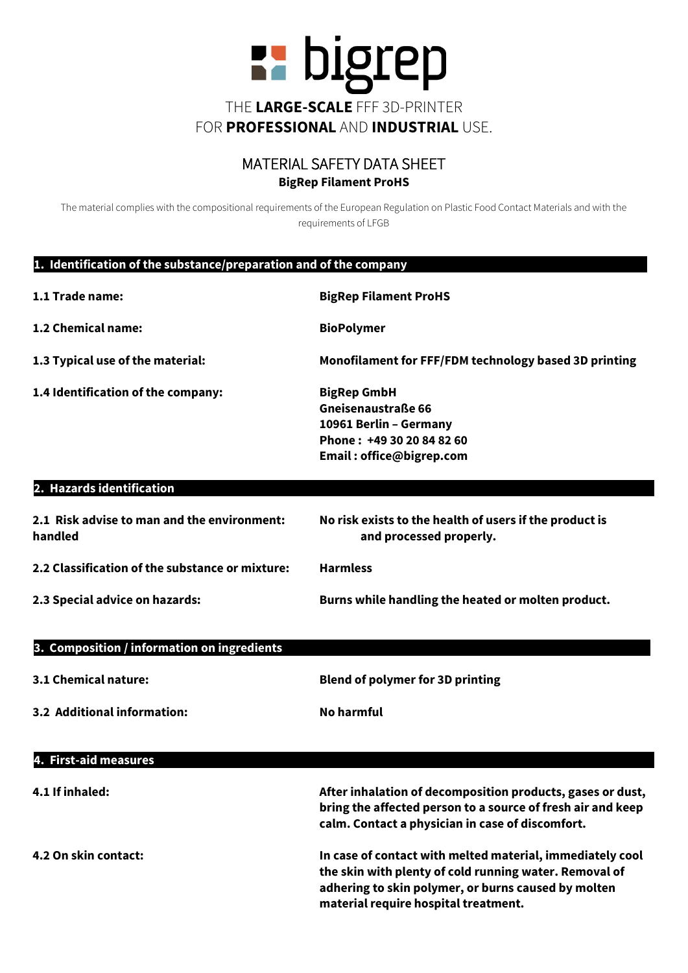

## MATERIAL SAFETY DATA SHEET **BigRep Filament ProHS**

The material complies with the compositional requirements of the European Regulation on Plastic Food Contact Materials and with the requirements of LFGB

## **1. Identification of the substance/preparation and of the company………………………………………………….**

| 1.1 Trade name:                                        | <b>BigRep Filament ProHS</b>                                                                                                                                                  |
|--------------------------------------------------------|-------------------------------------------------------------------------------------------------------------------------------------------------------------------------------|
| 1.2 Chemical name:                                     | <b>BioPolymer</b>                                                                                                                                                             |
| 1.3 Typical use of the material:                       | Monofilament for FFF/FDM technology based 3D printing                                                                                                                         |
| 1.4 Identification of the company:                     | <b>BigRep GmbH</b><br><b>Gneisenaustraße 66</b><br>10961 Berlin - Germany<br>Phone: +49 30 20 84 82 60<br>Email: office@bigrep.com                                            |
| 2. Hazards identification                              |                                                                                                                                                                               |
| 2.1 Risk advise to man and the environment:<br>handled | No risk exists to the health of users if the product is<br>and processed properly.                                                                                            |
| 2.2 Classification of the substance or mixture:        | <b>Harmless</b>                                                                                                                                                               |
| 2.3 Special advice on hazards:                         | Burns while handling the heated or molten product.                                                                                                                            |
| 3. Composition / information on ingredients            |                                                                                                                                                                               |
| 3.1 Chemical nature:                                   | <b>Blend of polymer for 3D printing</b>                                                                                                                                       |
| 3.2 Additional information:                            | <b>No harmful</b>                                                                                                                                                             |
| 4. First-aid measures                                  |                                                                                                                                                                               |
| 4.1 If inhaled:                                        | After inhalation of decomposition products, gases or dust,<br>bring the affected person to a source of fresh air and keep<br>calm. Contact a physician in case of discomfort. |
| $\bf{A}$ . On altha ann tan                            | بالمتمت بالمفشاء مسمس بالماسمة متسوما والمستملة فاستنقط والمستحدث والمستحدث                                                                                                   |

**4.2 On skin contact: In case of contact with melted material, immediately cool the skin with plenty of cold running water. Removal of adhering to skin polymer, or burns caused by molten material require hospital treatment.**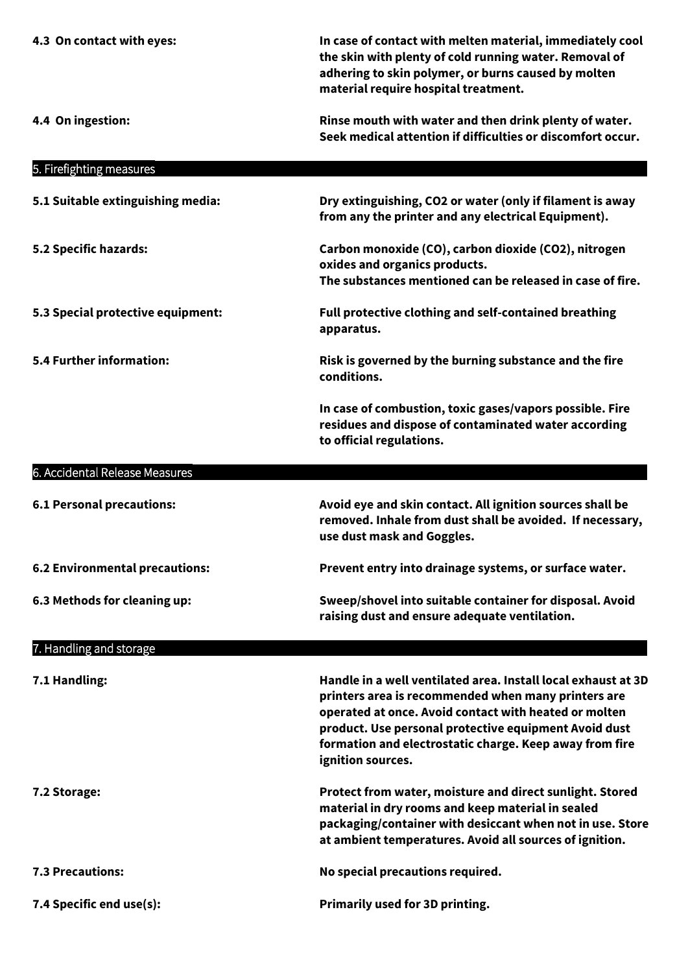| 4.3 On contact with eyes:         | In case of contact with melten material, immediately cool<br>the skin with plenty of cold running water. Removal of<br>adhering to skin polymer, or burns caused by molten<br>material require hospital treatment.                                                                                                     |
|-----------------------------------|------------------------------------------------------------------------------------------------------------------------------------------------------------------------------------------------------------------------------------------------------------------------------------------------------------------------|
| 4.4 On ingestion:                 | Rinse mouth with water and then drink plenty of water.<br>Seek medical attention if difficulties or discomfort occur.                                                                                                                                                                                                  |
| 5. Firefighting measures          |                                                                                                                                                                                                                                                                                                                        |
| 5.1 Suitable extinguishing media: | Dry extinguishing, CO2 or water (only if filament is away<br>from any the printer and any electrical Equipment).                                                                                                                                                                                                       |
| 5.2 Specific hazards:             | Carbon monoxide (CO), carbon dioxide (CO2), nitrogen<br>oxides and organics products.<br>The substances mentioned can be released in case of fire.                                                                                                                                                                     |
| 5.3 Special protective equipment: | Full protective clothing and self-contained breathing<br>apparatus.                                                                                                                                                                                                                                                    |
| <b>5.4 Further information:</b>   | Risk is governed by the burning substance and the fire<br>conditions.                                                                                                                                                                                                                                                  |
|                                   | In case of combustion, toxic gases/vapors possible. Fire<br>residues and dispose of contaminated water according<br>to official regulations.                                                                                                                                                                           |
| 6. Accidental Release Measures    |                                                                                                                                                                                                                                                                                                                        |
| <b>6.1 Personal precautions:</b>  | Avoid eye and skin contact. All ignition sources shall be<br>removed. Inhale from dust shall be avoided. If necessary,<br>use dust mask and Goggles.                                                                                                                                                                   |
| 6.2 Environmental precautions:    | Prevent entry into drainage systems, or surface water.                                                                                                                                                                                                                                                                 |
| 6.3 Methods for cleaning up:      | Sweep/shovel into suitable container for disposal. Avoid<br>raising dust and ensure adequate ventilation.                                                                                                                                                                                                              |
| 7. Handling and storage           |                                                                                                                                                                                                                                                                                                                        |
| 7.1 Handling:                     | Handle in a well ventilated area. Install local exhaust at 3D<br>printers area is recommended when many printers are<br>operated at once. Avoid contact with heated or molten<br>product. Use personal protective equipment Avoid dust<br>formation and electrostatic charge. Keep away from fire<br>ignition sources. |
| 7.2 Storage:                      | Protect from water, moisture and direct sunlight. Stored<br>material in dry rooms and keep material in sealed<br>packaging/container with desiccant when not in use. Store<br>at ambient temperatures. Avoid all sources of ignition.                                                                                  |
| <b>7.3 Precautions:</b>           | No special precautions required.                                                                                                                                                                                                                                                                                       |
| 7.4 Specific end use(s):          | Primarily used for 3D printing.                                                                                                                                                                                                                                                                                        |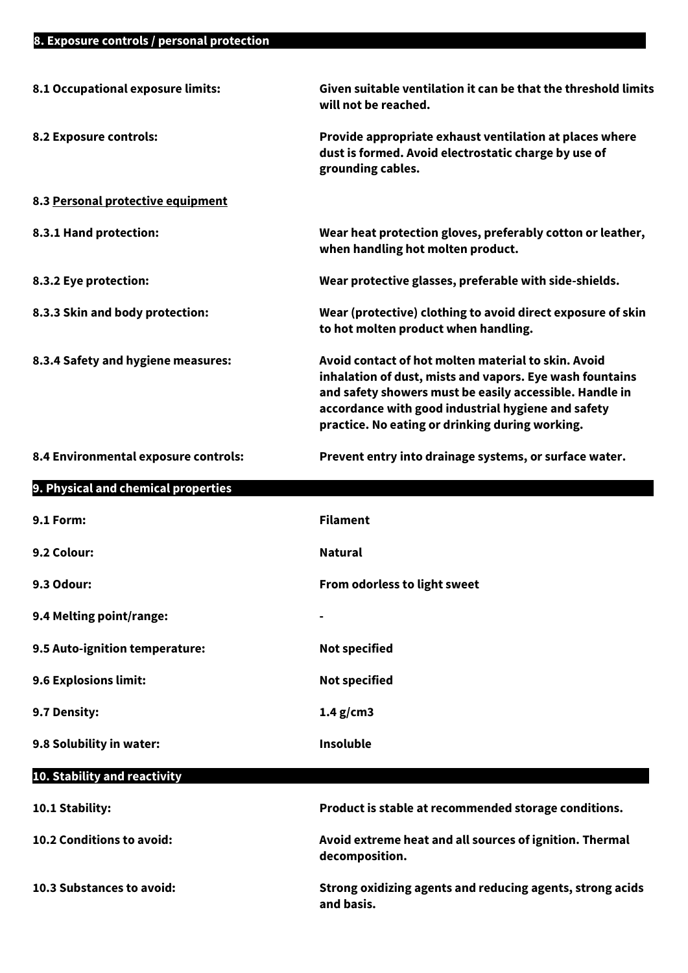| 8.1 Occupational exposure limits:    | Given suitable ventilation it can be that the threshold limits<br>will not be reached.                                                                                                                                                                                              |
|--------------------------------------|-------------------------------------------------------------------------------------------------------------------------------------------------------------------------------------------------------------------------------------------------------------------------------------|
| 8.2 Exposure controls:               | Provide appropriate exhaust ventilation at places where<br>dust is formed. Avoid electrostatic charge by use of<br>grounding cables.                                                                                                                                                |
| 8.3 Personal protective equipment    |                                                                                                                                                                                                                                                                                     |
| 8.3.1 Hand protection:               | Wear heat protection gloves, preferably cotton or leather,<br>when handling hot molten product.                                                                                                                                                                                     |
| 8.3.2 Eye protection:                | Wear protective glasses, preferable with side-shields.                                                                                                                                                                                                                              |
| 8.3.3 Skin and body protection:      | Wear (protective) clothing to avoid direct exposure of skin<br>to hot molten product when handling.                                                                                                                                                                                 |
| 8.3.4 Safety and hygiene measures:   | Avoid contact of hot molten material to skin. Avoid<br>inhalation of dust, mists and vapors. Eye wash fountains<br>and safety showers must be easily accessible. Handle in<br>accordance with good industrial hygiene and safety<br>practice. No eating or drinking during working. |
| 8.4 Environmental exposure controls: | Prevent entry into drainage systems, or surface water.                                                                                                                                                                                                                              |
| 9. Physical and chemical properties  |                                                                                                                                                                                                                                                                                     |
|                                      |                                                                                                                                                                                                                                                                                     |
| <b>9.1 Form:</b>                     | <b>Filament</b>                                                                                                                                                                                                                                                                     |
| 9.2 Colour:                          | <b>Natural</b>                                                                                                                                                                                                                                                                      |
| 9.3 Odour:                           | <b>From odorless to light sweet</b>                                                                                                                                                                                                                                                 |
| 9.4 Melting point/range:             |                                                                                                                                                                                                                                                                                     |
| 9.5 Auto-ignition temperature:       | <b>Not specified</b>                                                                                                                                                                                                                                                                |
| 9.6 Explosions limit:                | <b>Not specified</b>                                                                                                                                                                                                                                                                |
| 9.7 Density:                         | $1.4$ g/cm3                                                                                                                                                                                                                                                                         |
| 9.8 Solubility in water:             | Insoluble                                                                                                                                                                                                                                                                           |
| 10. Stability and reactivity         |                                                                                                                                                                                                                                                                                     |
| 10.1 Stability:                      | Product is stable at recommended storage conditions.                                                                                                                                                                                                                                |
| 10.2 Conditions to avoid:            | Avoid extreme heat and all sources of ignition. Thermal<br>decomposition.                                                                                                                                                                                                           |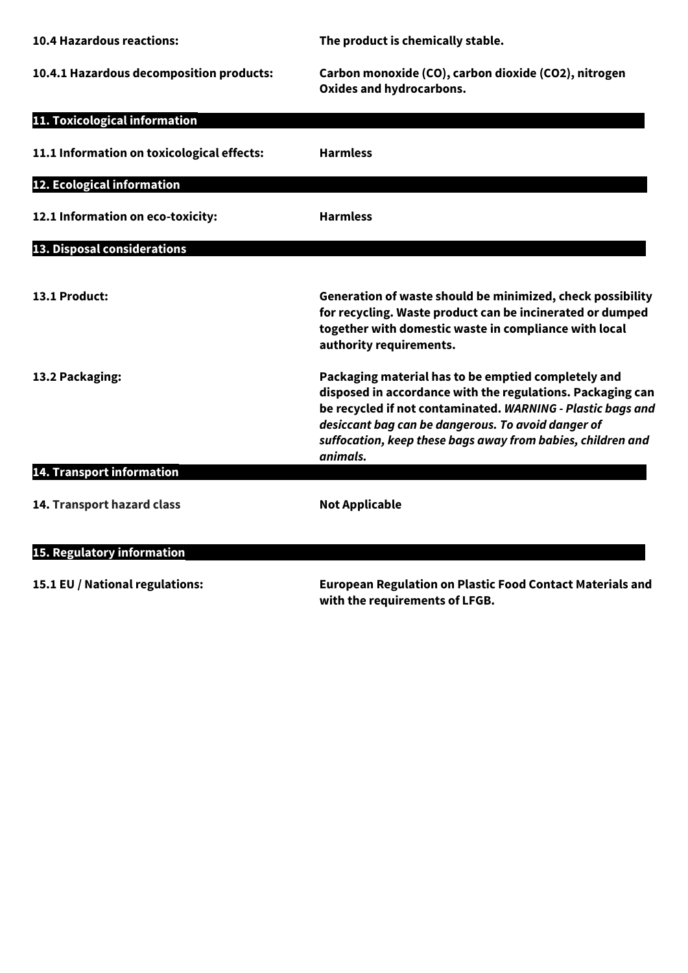| <b>10.4 Hazardous reactions:</b>           | The product is chemically stable.                                                                                                                                                                                                                                                                                 |
|--------------------------------------------|-------------------------------------------------------------------------------------------------------------------------------------------------------------------------------------------------------------------------------------------------------------------------------------------------------------------|
| 10.4.1 Hazardous decomposition products:   | Carbon monoxide (CO), carbon dioxide (CO2), nitrogen<br>Oxides and hydrocarbons.                                                                                                                                                                                                                                  |
| 11. Toxicological information              |                                                                                                                                                                                                                                                                                                                   |
| 11.1 Information on toxicological effects: | <b>Harmless</b>                                                                                                                                                                                                                                                                                                   |
| 12. Ecological information                 |                                                                                                                                                                                                                                                                                                                   |
| 12.1 Information on eco-toxicity:          | <b>Harmless</b>                                                                                                                                                                                                                                                                                                   |
| 13. Disposal considerations                |                                                                                                                                                                                                                                                                                                                   |
| 13.1 Product:                              | Generation of waste should be minimized, check possibility<br>for recycling. Waste product can be incinerated or dumped<br>together with domestic waste in compliance with local<br>authority requirements.                                                                                                       |
| 13.2 Packaging:                            | Packaging material has to be emptied completely and<br>disposed in accordance with the regulations. Packaging can<br>be recycled if not contaminated. WARNING - Plastic bags and<br>desiccant bag can be dangerous. To avoid danger of<br>suffocation, keep these bags away from babies, children and<br>animals. |
| 14. Transport information                  |                                                                                                                                                                                                                                                                                                                   |
| 14. Transport hazard class                 | <b>Not Applicable</b>                                                                                                                                                                                                                                                                                             |
| 15. Regulatory information                 |                                                                                                                                                                                                                                                                                                                   |

**15.1 EU / National regulations: European Regulation on Plastic Food Contact Materials and with the requirements of LFGB.**